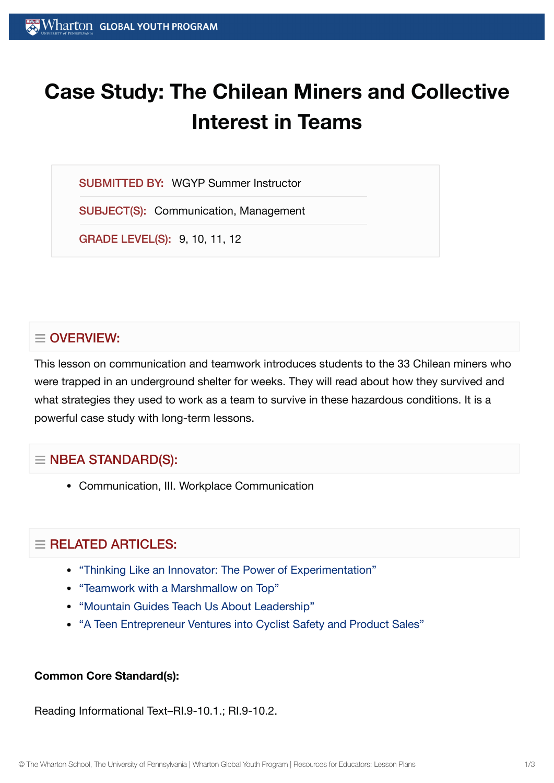# **Case Study: The Chilean Miners and Collective Interest in Teams**

SUBMITTED BY: WGYP Summer Instructor

SUBJECT(S): Communication, Management

GRADE LEVEL(S): 9, 10, 11, 12

## $\equiv$  OVERVIEW:

This lesson on communication and teamwork introduces students to the 33 Chilean miners who were trapped in an underground shelter for weeks. They will read about how they survived and what strategies they used to work as a team to survive in these hazardous conditions. It is a powerful case study with long-term lessons.

## $\equiv$  NBEA STANDARD(S):

Communication, III. Workplace Communication

## $\equiv$  RELATED ARTICLES:

- "Thinking Like an Innovator: The Power of [Experimentation"](https://globalyouth.wharton.upenn.edu/articles/thinking-like-innovator-power-experimentation/)
- "Teamwork with a [Marshmallow](https://globalyouth.wharton.upenn.edu/articles/teamwork-with-a-marshmallow-on-top/) on Top"
- "Mountain [Guides Teach](https://globalyouth.wharton.upenn.edu/articles/mountain-guides-teach-us-leadership/) Us About Leadership"
- "A Teen Entrepreneur [Ventures into](https://globalyouth.wharton.upenn.edu/articles/teen-entrepreneur-ventures-bicycle-safety-product-sales/) Cyclist Safety and Product Sales"

### **Common Core Standard(s):**

Reading Informational Text–RI.9-10.1.; RI.9-10.2.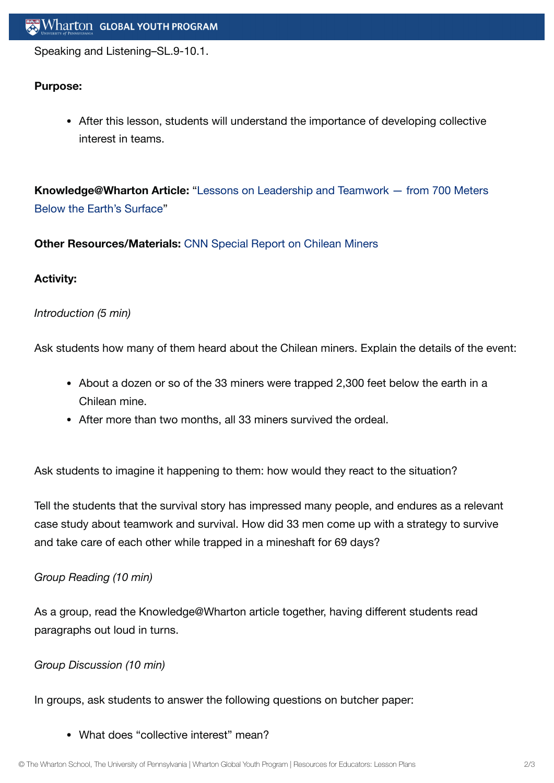Speaking and Listening–SL.9-10.1.

#### **Purpose:**

After this lesson, students will understand the importance of developing collective interest in teams.

**[Knowledge@Wharton](http://knowledge.wharton.upenn.edu/article.cfm?articleid=2607) Article:** "Lessons on Leadership and Teamwork — from 700 Meters Below the Earth's Surface"

**Other Resources/Materials:** CNN Special Report on [Chilean](http://www.cnn.com/SPECIALS/2010/chile.miners/) Miners

#### **Activity:**

#### *Introduction (5 min)*

Ask students how many of them heard about the Chilean miners. Explain the details of the event:

- About a dozen or so of the 33 miners were trapped 2,300 feet below the earth in a Chilean mine.
- After more than two months, all 33 miners survived the ordeal.

Ask students to imagine it happening to them: how would they react to the situation?

Tell the students that the survival story has impressed many people, and endures as a relevant case study about teamwork and survival. How did 33 men come up with a strategy to survive and take care of each other while trapped in a mineshaft for 69 days?

#### *Group Reading (10 min)*

As a group, read the Knowledge@Wharton article together, having different students read paragraphs out loud in turns.

#### *Group Discussion (10 min)*

In groups, ask students to answer the following questions on butcher paper:

What does "collective interest" mean?